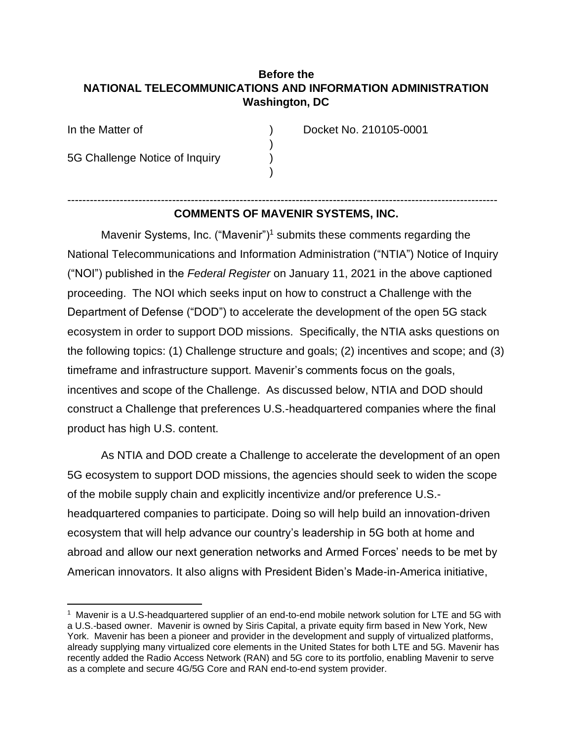## **Before the NATIONAL TELECOMMUNICATIONS AND INFORMATION ADMINISTRATION Washington, DC**

)

)

5G Challenge Notice of Inquiry )

In the Matter of ) Docket No. 210105-0001

## ------------------------------------------------------------------------------------------------------------------- **COMMENTS OF MAVENIR SYSTEMS, INC.**

Mavenir Systems, Inc. ("Mavenir")<sup>1</sup> submits these comments regarding the National Telecommunications and Information Administration ("NTIA") Notice of Inquiry ("NOI") published in the *Federal Register* on January 11, 2021 in the above captioned proceeding. The NOI which seeks input on how to construct a Challenge with the Department of Defense ("DOD") to accelerate the development of the open 5G stack ecosystem in order to support DOD missions. Specifically, the NTIA asks questions on the following topics: (1) Challenge structure and goals; (2) incentives and scope; and (3) timeframe and infrastructure support. Mavenir's comments focus on the goals, incentives and scope of the Challenge. As discussed below, NTIA and DOD should construct a Challenge that preferences U.S.-headquartered companies where the final product has high U.S. content.

As NTIA and DOD create a Challenge to accelerate the development of an open 5G ecosystem to support DOD missions, the agencies should seek to widen the scope of the mobile supply chain and explicitly incentivize and/or preference U.S. headquartered companies to participate. Doing so will help build an innovation-driven ecosystem that will help advance our country's leadership in 5G both at home and abroad and allow our next generation networks and Armed Forces' needs to be met by American innovators. It also aligns with President Biden's Made-in-America initiative,

<sup>1</sup> Mavenir is a U.S-headquartered supplier of an end-to-end mobile network solution for LTE and 5G with a U.S.-based owner. Mavenir is owned by Siris Capital, a private equity firm based in New York, New York. Mavenir has been a pioneer and provider in the development and supply of virtualized platforms, already supplying many virtualized core elements in the United States for both LTE and 5G. Mavenir has recently added the Radio Access Network (RAN) and 5G core to its portfolio, enabling Mavenir to serve as a complete and secure 4G/5G Core and RAN end-to-end system provider.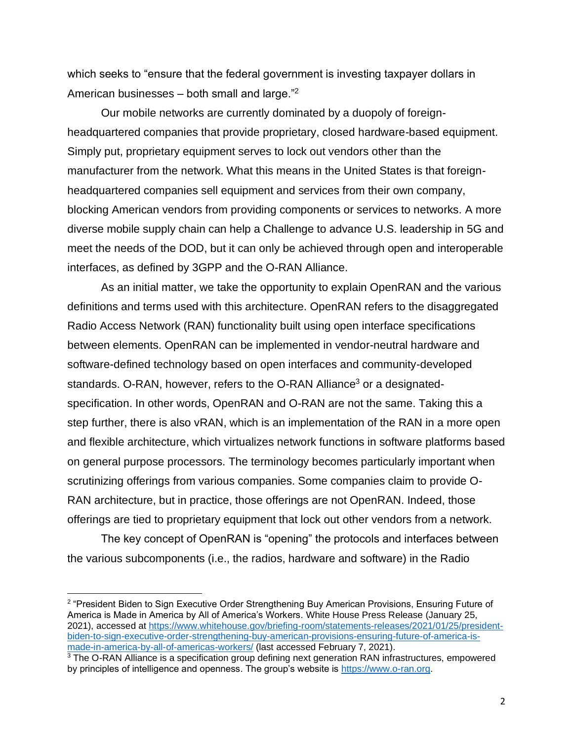which seeks to "ensure that the federal government is investing taxpayer dollars in American businesses  $-$  both small and large."<sup>2</sup>

Our mobile networks are currently dominated by a duopoly of foreignheadquartered companies that provide proprietary, closed hardware-based equipment. Simply put, proprietary equipment serves to lock out vendors other than the manufacturer from the network. What this means in the United States is that foreignheadquartered companies sell equipment and services from their own company, blocking American vendors from providing components or services to networks. A more diverse mobile supply chain can help a Challenge to advance U.S. leadership in 5G and meet the needs of the DOD, but it can only be achieved through open and interoperable interfaces, as defined by 3GPP and the O-RAN Alliance.

As an initial matter, we take the opportunity to explain OpenRAN and the various definitions and terms used with this architecture. OpenRAN refers to the disaggregated Radio Access Network (RAN) functionality built using open interface specifications between elements. OpenRAN can be implemented in vendor-neutral hardware and software-defined technology based on open interfaces and community-developed standards. O-RAN, however, refers to the O-RAN Alliance<sup>3</sup> or a designatedspecification. In other words, OpenRAN and O-RAN are not the same. Taking this a step further, there is also vRAN, which is an implementation of the RAN in a more open and flexible architecture, which virtualizes network functions in software platforms based on general purpose processors. The terminology becomes particularly important when scrutinizing offerings from various companies. Some companies claim to provide O-RAN architecture, but in practice, those offerings are not OpenRAN. Indeed, those offerings are tied to proprietary equipment that lock out other vendors from a network.

The key concept of OpenRAN is "opening" the protocols and interfaces between the various subcomponents (i.e., the radios, hardware and software) in the Radio

<sup>&</sup>lt;sup>2</sup> "President Biden to Sign Executive Order Strengthening Buy American Provisions, Ensuring Future of America is Made in America by All of America's Workers. White House Press Release (January 25, 2021), accessed at [https://www.whitehouse.gov/briefing-room/statements-releases/2021/01/25/president](https://www.whitehouse.gov/briefing-room/statements-releases/2021/01/25/president-biden-to-sign-executive-order-strengthening-buy-american-provisions-ensuring-future-of-america-is-made-in-america-by-all-of-americas-workers/)[biden-to-sign-executive-order-strengthening-buy-american-provisions-ensuring-future-of-america-is](https://www.whitehouse.gov/briefing-room/statements-releases/2021/01/25/president-biden-to-sign-executive-order-strengthening-buy-american-provisions-ensuring-future-of-america-is-made-in-america-by-all-of-americas-workers/)[made-in-america-by-all-of-americas-workers/](https://www.whitehouse.gov/briefing-room/statements-releases/2021/01/25/president-biden-to-sign-executive-order-strengthening-buy-american-provisions-ensuring-future-of-america-is-made-in-america-by-all-of-americas-workers/) (last accessed February 7, 2021).

<sup>&</sup>lt;sup>3</sup> The O-RAN Alliance is a specification group defining next generation RAN infrastructures, empowered by principles of intelligence and openness. The group's website is [https://www.o-ran.org.](https://www.o-ran.org/)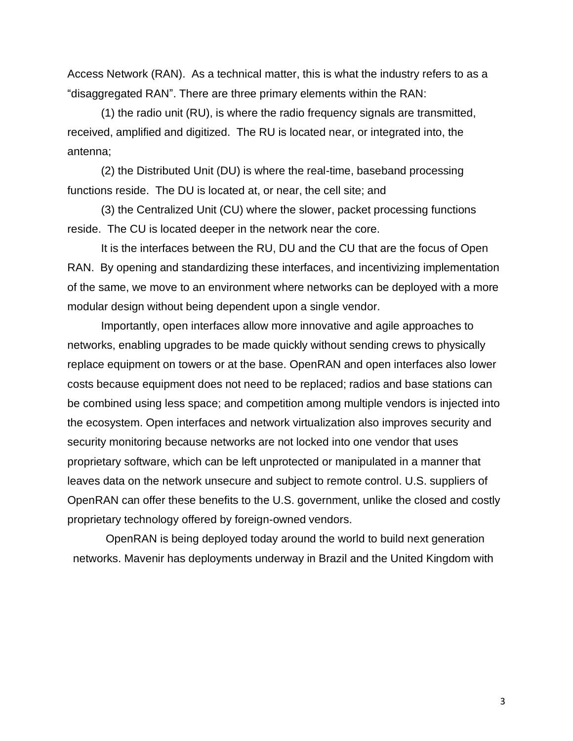Access Network (RAN). As a technical matter, this is what the industry refers to as a "disaggregated RAN". There are three primary elements within the RAN:

(1) the radio unit (RU), is where the radio frequency signals are transmitted, received, amplified and digitized. The RU is located near, or integrated into, the antenna;

(2) the Distributed Unit (DU) is where the real-time, baseband processing functions reside. The DU is located at, or near, the cell site; and

(3) the Centralized Unit (CU) where the slower, packet processing functions reside. The CU is located deeper in the network near the core.

It is the interfaces between the RU, DU and the CU that are the focus of Open RAN. By opening and standardizing these interfaces, and incentivizing implementation of the same, we move to an environment where networks can be deployed with a more modular design without being dependent upon a single vendor.

Importantly, open interfaces allow more innovative and agile approaches to networks, enabling upgrades to be made quickly without sending crews to physically replace equipment on towers or at the base. OpenRAN and open interfaces also lower costs because equipment does not need to be replaced; radios and base stations can be combined using less space; and competition among multiple vendors is injected into the ecosystem. Open interfaces and network virtualization also improves security and security monitoring because networks are not locked into one vendor that uses proprietary software, which can be left unprotected or manipulated in a manner that leaves data on the network unsecure and subject to remote control. U.S. suppliers of OpenRAN can offer these benefits to the U.S. government, unlike the closed and costly proprietary technology offered by foreign-owned vendors.

OpenRAN is being deployed today around the world to build next generation networks. Mavenir has deployments underway in Brazil and the United Kingdom with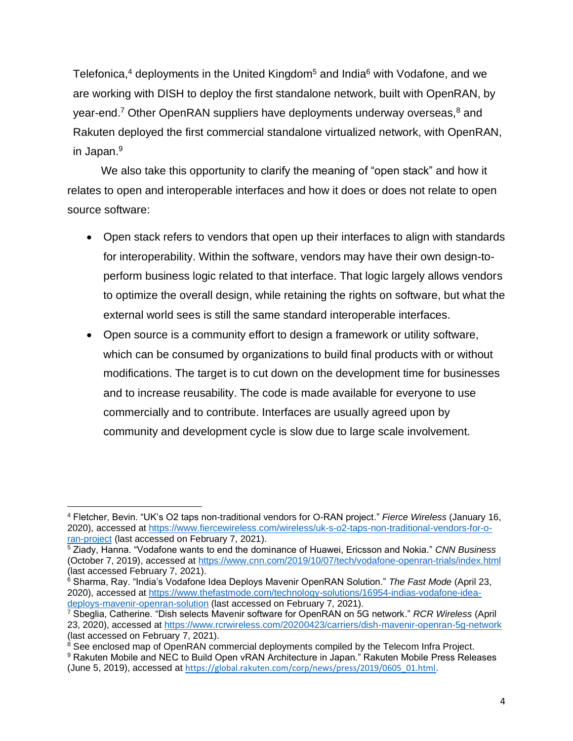Telefonica,<sup>4</sup> deployments in the United Kingdom<sup>5</sup> and India<sup>6</sup> with Vodafone, and we are working with DISH to deploy the first standalone network, built with OpenRAN, by year-end.<sup>7</sup> Other OpenRAN suppliers have deployments underway overseas, $8$  and Rakuten deployed the first commercial standalone virtualized network, with OpenRAN, in Japan.<sup>9</sup>

We also take this opportunity to clarify the meaning of "open stack" and how it relates to open and interoperable interfaces and how it does or does not relate to open source software:

- Open stack refers to vendors that open up their interfaces to align with standards for interoperability. Within the software, vendors may have their own design-toperform business logic related to that interface. That logic largely allows vendors to optimize the overall design, while retaining the rights on software, but what the external world sees is still the same standard interoperable interfaces.
- Open source is a community effort to design a framework or utility software, which can be consumed by organizations to build final products with or without modifications. The target is to cut down on the development time for businesses and to increase reusability. The code is made available for everyone to use commercially and to contribute. Interfaces are usually agreed upon by community and development cycle is slow due to large scale involvement.

<sup>4</sup> Fletcher, Bevin. "UK's O2 taps non-traditional vendors for O-RAN project." *Fierce Wireless* (January 16, 2020), accessed at [https://www.fiercewireless.com/wireless/uk-s-o2-taps-non-traditional-vendors-for-o](https://www.fiercewireless.com/wireless/uk-s-o2-taps-non-traditional-vendors-for-o-ran-project)[ran-project](https://www.fiercewireless.com/wireless/uk-s-o2-taps-non-traditional-vendors-for-o-ran-project) (last accessed on February 7, 2021).

<sup>5</sup> Ziady, Hanna. "Vodafone wants to end the dominance of Huawei, Ericsson and Nokia." *CNN Business*  (October 7, 2019), accessed at <https://www.cnn.com/2019/10/07/tech/vodafone-openran-trials/index.html> (last accessed February 7, 2021).

<sup>6</sup> Sharma, Ray. "India's Vodafone Idea Deploys Mavenir OpenRAN Solution." *The Fast Mode* (April 23, 2020), accessed at [https://www.thefastmode.com/technology-solutions/16954-indias-vodafone-idea](https://www.thefastmode.com/technology-solutions/16954-indias-vodafone-idea-deploys-mavenir-openran-solution)[deploys-mavenir-openran-solution](https://www.thefastmode.com/technology-solutions/16954-indias-vodafone-idea-deploys-mavenir-openran-solution) (last accessed on February 7, 2021).

<sup>7</sup> Sbeglia, Catherine. "Dish selects Mavenir software for OpenRAN on 5G network." *RCR Wireless* (April 23, 2020), accessed at<https://www.rcrwireless.com/20200423/carriers/dish-mavenir-openran-5g-network> (last accessed on February 7, 2021).

 $8$  See enclosed map of OpenRAN commercial deployments compiled by the Telecom Infra Project. <sup>9</sup> Rakuten Mobile and NEC to Build Open vRAN Architecture in Japan." Rakuten Mobile Press Releases (June 5, 2019), accessed at [https://global.rakuten.com/corp/news/press/2019/0605\\_01.html](https://global.rakuten.com/corp/news/press/2019/0605_01.html).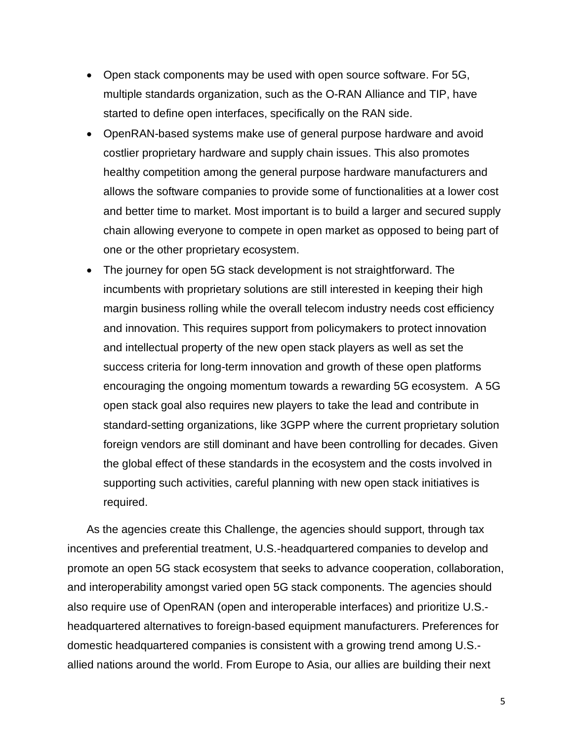- Open stack components may be used with open source software. For 5G, multiple standards organization, such as the O-RAN Alliance and TIP, have started to define open interfaces, specifically on the RAN side.
- OpenRAN-based systems make use of general purpose hardware and avoid costlier proprietary hardware and supply chain issues. This also promotes healthy competition among the general purpose hardware manufacturers and allows the software companies to provide some of functionalities at a lower cost and better time to market. Most important is to build a larger and secured supply chain allowing everyone to compete in open market as opposed to being part of one or the other proprietary ecosystem.
- The journey for open 5G stack development is not straightforward. The incumbents with proprietary solutions are still interested in keeping their high margin business rolling while the overall telecom industry needs cost efficiency and innovation. This requires support from policymakers to protect innovation and intellectual property of the new open stack players as well as set the success criteria for long-term innovation and growth of these open platforms encouraging the ongoing momentum towards a rewarding 5G ecosystem. A 5G open stack goal also requires new players to take the lead and contribute in standard-setting organizations, like 3GPP where the current proprietary solution foreign vendors are still dominant and have been controlling for decades. Given the global effect of these standards in the ecosystem and the costs involved in supporting such activities, careful planning with new open stack initiatives is required.

As the agencies create this Challenge, the agencies should support, through tax incentives and preferential treatment, U.S.-headquartered companies to develop and promote an open 5G stack ecosystem that seeks to advance cooperation, collaboration, and interoperability amongst varied open 5G stack components. The agencies should also require use of OpenRAN (open and interoperable interfaces) and prioritize U.S. headquartered alternatives to foreign-based equipment manufacturers. Preferences for domestic headquartered companies is consistent with a growing trend among U.S. allied nations around the world. From Europe to Asia, our allies are building their next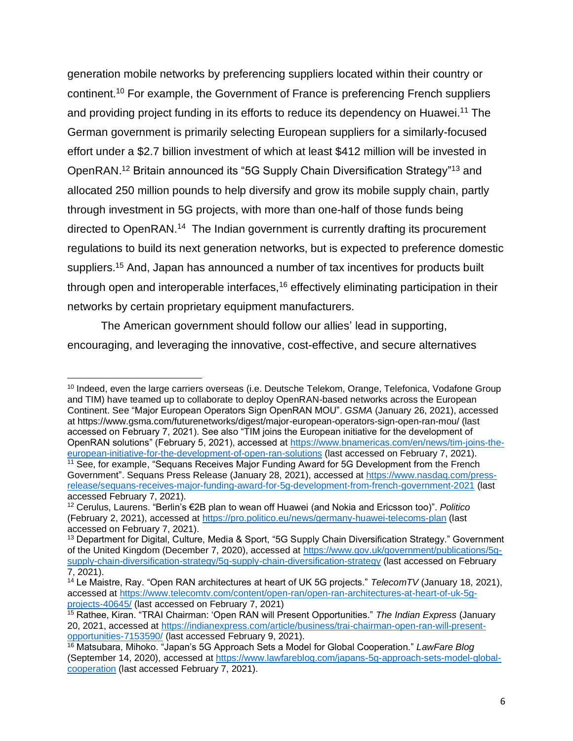generation mobile networks by preferencing suppliers located within their country or continent.<sup>10</sup> For example, the Government of France is preferencing French suppliers and providing project funding in its efforts to reduce its dependency on Huawei.<sup>11</sup> The German government is primarily selecting European suppliers for a similarly-focused effort under a \$2.7 billion investment of which at least \$412 million will be invested in OpenRAN.<sup>12</sup> Britain announced its "5G Supply Chain Diversification Strategy"<sup>13</sup> and allocated 250 million pounds to help diversify and grow its mobile supply chain, partly through investment in 5G projects, with more than one-half of those funds being directed to OpenRAN.<sup>14</sup> The Indian government is currently drafting its procurement regulations to build its next generation networks, but is expected to preference domestic suppliers.<sup>15</sup> And, Japan has announced a number of tax incentives for products built through open and interoperable interfaces, $16$  effectively eliminating participation in their networks by certain proprietary equipment manufacturers.

The American government should follow our allies' lead in supporting, encouraging, and leveraging the innovative, cost-effective, and secure alternatives

<sup>&</sup>lt;sup>10</sup> Indeed, even the large carriers overseas (i.e. Deutsche Telekom, Orange, Telefonica, Vodafone Group and TIM) have teamed up to collaborate to deploy OpenRAN-based networks across the European Continent. See "Major European Operators Sign OpenRAN MOU". *GSMA* (January 26, 2021), accessed at https://www.gsma.com/futurenetworks/digest/major-european-operators-sign-open-ran-mou/ (last accessed on February 7, 2021). See also "TIM joins the European initiative for the development of OpenRAN solutions" (February 5, 2021), accessed at [https://www.bnamericas.com/en/news/tim-joins-the](https://www.bnamericas.com/en/news/tim-joins-the-european-initiative-for-the-development-of-open-ran-solutions)[european-initiative-for-the-development-of-open-ran-solutions](https://www.bnamericas.com/en/news/tim-joins-the-european-initiative-for-the-development-of-open-ran-solutions) (last accessed on February 7, 2021). <sup>11</sup> See, for example, "Sequans Receives Major Funding Award for 5G Development from the French Government". Sequans Press Release (January 28, 2021), accessed at [https://www.nasdaq.com/press](https://www.nasdaq.com/press-release/sequans-receives-major-funding-award-for-5g-development-from-french-government-2021)[release/sequans-receives-major-funding-award-for-5g-development-from-french-government-2021](https://www.nasdaq.com/press-release/sequans-receives-major-funding-award-for-5g-development-from-french-government-2021) (last accessed February 7, 2021).

<sup>12</sup> Cerulus, Laurens. "Berlin's €2B plan to wean off Huawei (and Nokia and Ericsson too)". *Politico*  (February 2, 2021), accessed at<https://pro.politico.eu/news/germany-huawei-telecoms-plan> (last accessed on February 7, 2021).

<sup>&</sup>lt;sup>13</sup> Department for Digital, Culture, Media & Sport, "5G Supply Chain Diversification Strategy." Government of the United Kingdom (December 7, 2020), accessed at [https://www.gov.uk/government/publications/5g](https://www.gov.uk/government/publications/5g-supply-chain-diversification-strategy/5g-supply-chain-diversification-strategy)[supply-chain-diversification-strategy/5g-supply-chain-diversification-strategy](https://www.gov.uk/government/publications/5g-supply-chain-diversification-strategy/5g-supply-chain-diversification-strategy) (last accessed on February 7, 2021).

<sup>14</sup> Le Maistre, Ray. "Open RAN architectures at heart of UK 5G projects." *TelecomTV* (January 18, 2021), accessed at [https://www.telecomtv.com/content/open-ran/open-ran-architectures-at-heart-of-uk-5g](https://www.telecomtv.com/content/open-ran/open-ran-architectures-at-heart-of-uk-5g-projects-40645/)[projects-40645/](https://www.telecomtv.com/content/open-ran/open-ran-architectures-at-heart-of-uk-5g-projects-40645/) (last accessed on February 7, 2021)

<sup>15</sup> Rathee, Kiran. "TRAI Chairman: 'Open RAN will Present Opportunities." *The Indian Express* (January 20, 2021, accessed at [https://indianexpress.com/article/business/trai-chairman-open-ran-will-present](https://indianexpress.com/article/business/trai-chairman-open-ran-will-present-opportunities-7153590/)[opportunities-7153590/](https://indianexpress.com/article/business/trai-chairman-open-ran-will-present-opportunities-7153590/) (last accessed February 9, 2021).

<sup>16</sup> Matsubara, Mihoko. "Japan's 5G Approach Sets a Model for Global Cooperation." *LawFare Blog*  (September 14, 2020), accessed at [https://www.lawfareblog.com/japans-5g-approach-sets-model-global](https://www.lawfareblog.com/japans-5g-approach-sets-model-global-cooperation)[cooperation](https://www.lawfareblog.com/japans-5g-approach-sets-model-global-cooperation) (last accessed February 7, 2021).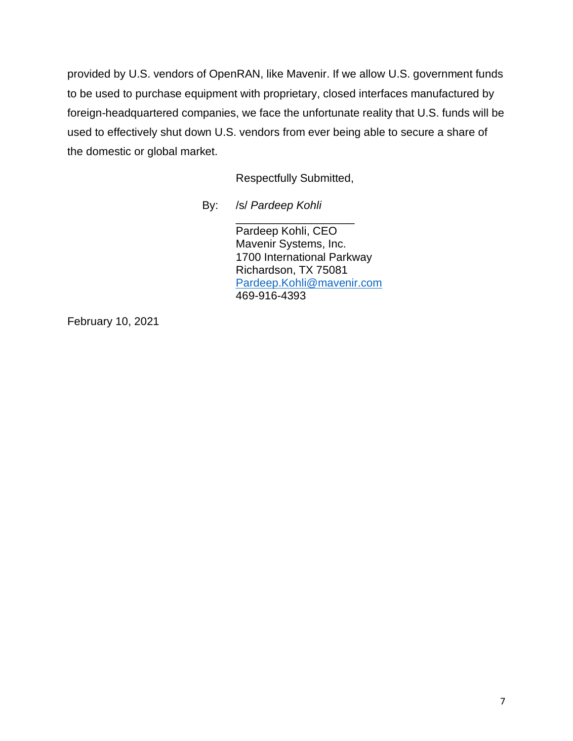provided by U.S. vendors of OpenRAN, like Mavenir. If we allow U.S. government funds to be used to purchase equipment with proprietary, closed interfaces manufactured by foreign-headquartered companies, we face the unfortunate reality that U.S. funds will be used to effectively shut down U.S. vendors from ever being able to secure a share of the domestic or global market.

Respectfully Submitted,

\_\_\_\_\_\_\_\_\_\_\_\_\_\_\_\_\_\_\_

By: /s/ *Pardeep Kohli*

Pardeep Kohli, CEO Mavenir Systems, Inc. 1700 International Parkway Richardson, TX 75081 [Pardeep.Kohli@mavenir.com](mailto:Pardeep.Kohli@mavenir.com) 469-916-4393

February 10, 2021